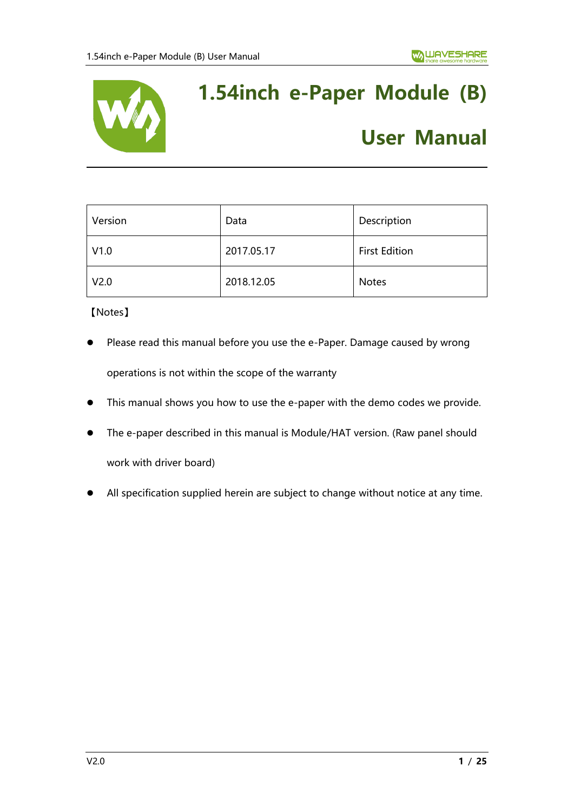

# **1.54inch e-Paper Module (B)**

## **User Manual**

| Version          | Data       | Description          |
|------------------|------------|----------------------|
| V1.0             | 2017.05.17 | <b>First Edition</b> |
| V <sub>2.0</sub> | 2018.12.05 | <b>Notes</b>         |

【Notes】

- Please read this manual before you use the e-Paper. Damage caused by wrong operations is not within the scope of the warranty
- ⚫ This manual shows you how to use the e-paper with the demo codes we provide.
- The e-paper described in this manual is Module/HAT version. (Raw panel should work with driver board)
- ⚫ All specification supplied herein are subject to change without notice at any time.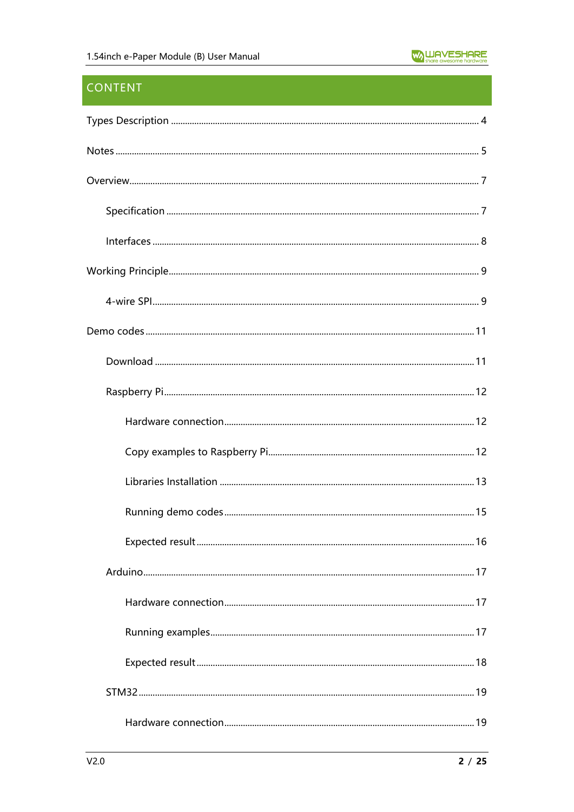## **CONTENT**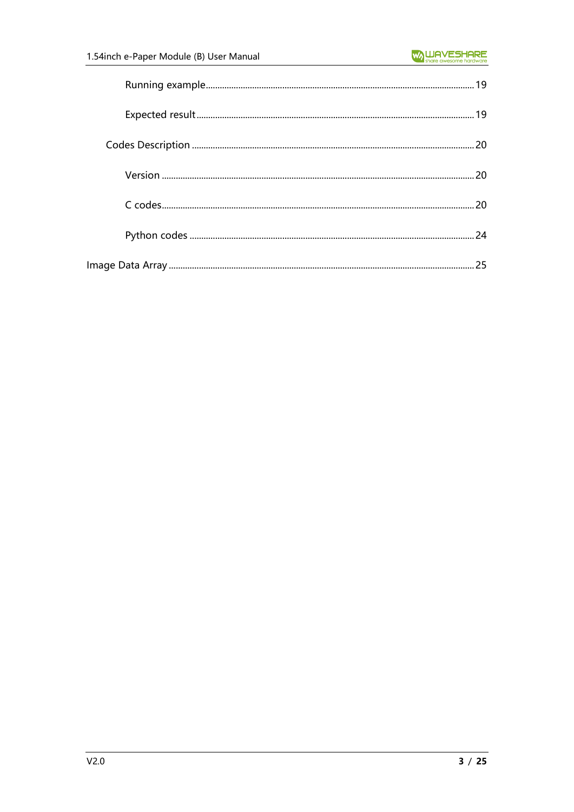| 25 |
|----|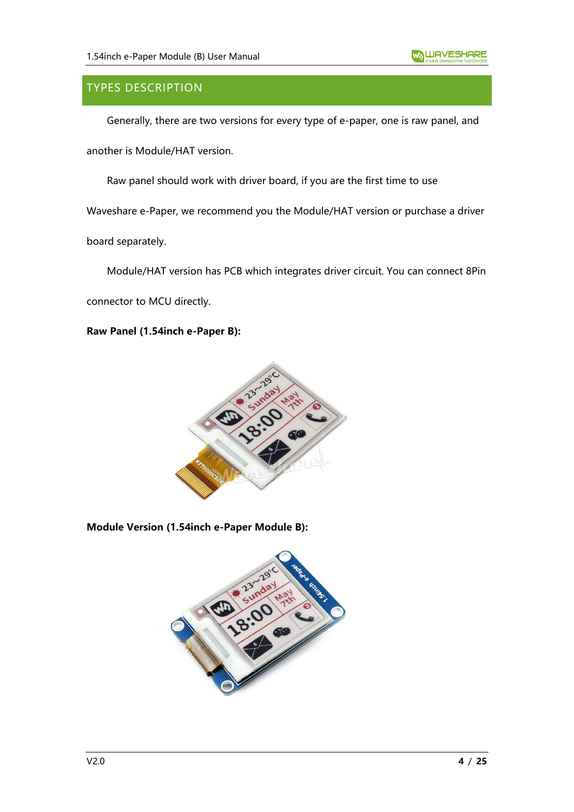## <span id="page-3-0"></span>TYPES DESCRIPTION

Generally, there are two versions for every type of e-paper, one is raw panel, and

another is Module/HAT version.

Raw panel should work with driver board, if you are the first time to use

Waveshare e-Paper, we recommend you the Module/HAT version or purchase a driver

board separately.

Module/HAT version has PCB which integrates driver circuit. You can connect 8Pin

connector to MCU directly.

#### **Raw Panel (1.54inch e-Paper B):**



#### **Module Version (1.54inch e-Paper Module B):**

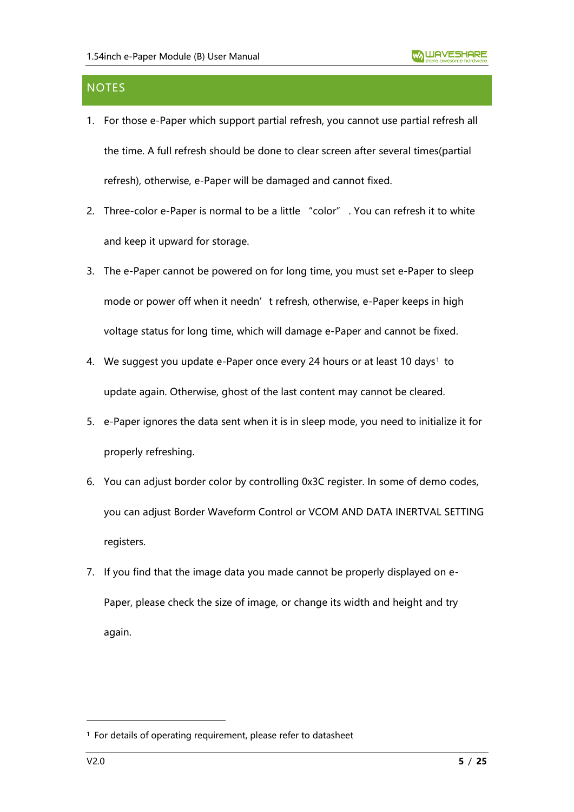## <span id="page-4-0"></span>**NOTES**

- 1. For those e-Paper which support partial refresh, you cannot use partial refresh all the time. A full refresh should be done to clear screen after several times(partial refresh), otherwise, e-Paper will be damaged and cannot fixed.
- 2. Three-color e-Paper is normal to be a little "color" . You can refresh it to white and keep it upward for storage.
- 3. The e-Paper cannot be powered on for long time, you must set e-Paper to sleep mode or power off when it needn't refresh, otherwise, e-Paper keeps in high voltage status for long time, which will damage e-Paper and cannot be fixed.
- 4. We suggest you update e-Paper once every 24 hours or at least 10 days<sup>1</sup> to update again. Otherwise, ghost of the last content may cannot be cleared.
- 5. e-Paper ignores the data sent when it is in sleep mode, you need to initialize it for properly refreshing.
- 6. You can adjust border color by controlling 0x3C register. In some of demo codes, you can adjust Border Waveform Control or VCOM AND DATA INERTVAL SETTING registers.
- 7. If you find that the image data you made cannot be properly displayed on e-Paper, please check the size of image, or change its width and height and try again.

<sup>1</sup> For details of operating requirement, please refer to datasheet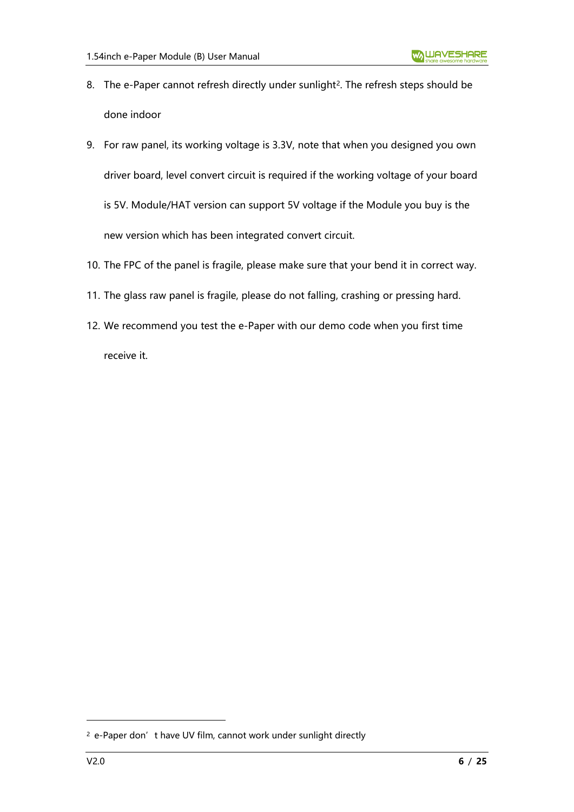- 8. The e-Paper cannot refresh directly under sunlight<sup>2</sup>. The refresh steps should be done indoor
- 9. For raw panel, its working voltage is 3.3V, note that when you designed you own driver board, level convert circuit is required if the working voltage of your board is 5V. Module/HAT version can support 5V voltage if the Module you buy is the new version which has been integrated convert circuit.
- 10. The FPC of the panel is fragile, please make sure that your bend it in correct way.
- 11. The glass raw panel is fragile, please do not falling, crashing or pressing hard.
- 12. We recommend you test the e-Paper with our demo code when you first time receive it.

<sup>&</sup>lt;sup>2</sup> e-Paper don't have UV film, cannot work under sunlight directly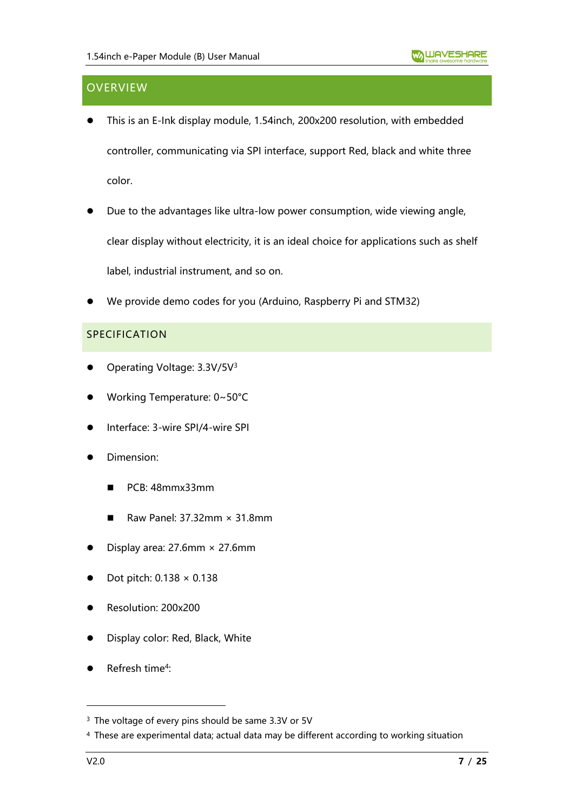## <span id="page-6-0"></span>**OVERVIEW**

- ⚫ This is an E-Ink display module, 1.54inch, 200x200 resolution, with embedded controller, communicating via SPI interface, support Red, black and white three color.
- Due to the advantages like ultra-low power consumption, wide viewing angle, clear display without electricity, it is an ideal choice for applications such as shelf label, industrial instrument, and so on.
- ⚫ We provide demo codes for you (Arduino, Raspberry Pi and STM32)

#### <span id="page-6-1"></span>SPECIFICATION

- Operating Voltage: 3.3V/5V<sup>3</sup>
- ⚫ Working Temperature: 0~50°C
- ⚫ Interface: 3-wire SPI/4-wire SPI
- ⚫ Dimension:
	- PCB: 48mmx33mm
	- Raw Panel:  $37.32$ mm  $\times$  31.8mm
- Display area:  $27.6$ mm  $\times$   $27.6$ mm
- Dot pitch:  $0.138 \times 0.138$
- ⚫ Resolution: 200x200
- ⚫ Display color: Red, Black, White
- Refresh time<sup>4</sup>:

<sup>&</sup>lt;sup>3</sup> The voltage of every pins should be same 3.3V or 5V

<sup>4</sup> These are experimental data; actual data may be different according to working situation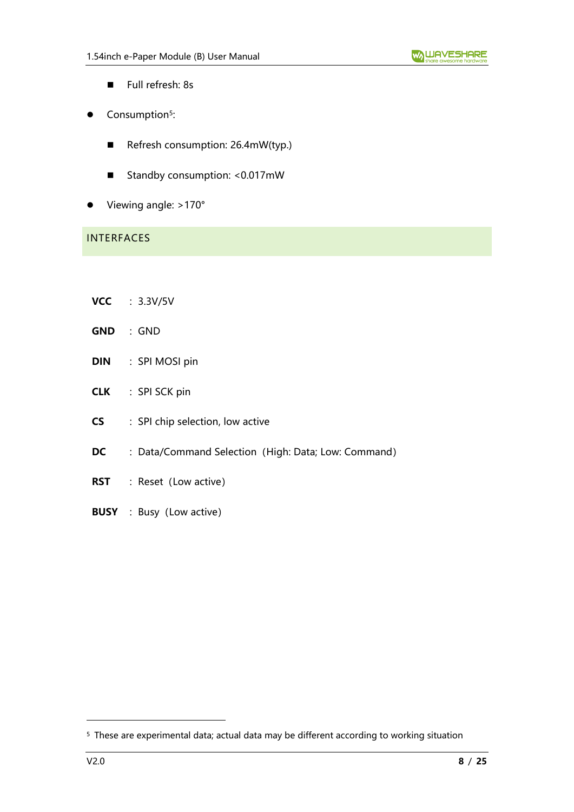- Full refresh: 8s
- Consumption<sup>5</sup>:
	- Refresh consumption: 26.4mW(typ.)
	- Standby consumption: <0.017mW
- Viewing angle: >170°

## <span id="page-7-0"></span>INTERFACES

- **VCC** :3.3V/5V
- **GND** :GND
- **DIN** : SPI MOSI pin
- **CLK** : SPI SCK pin
- **CS** : SPI chip selection, low active
- **DC** : Data/Command Selection (High: Data; Low: Command)
- **RST** : Reset (Low active)
- **BUSY** : Busy (Low active)

<sup>5</sup> These are experimental data; actual data may be different according to working situation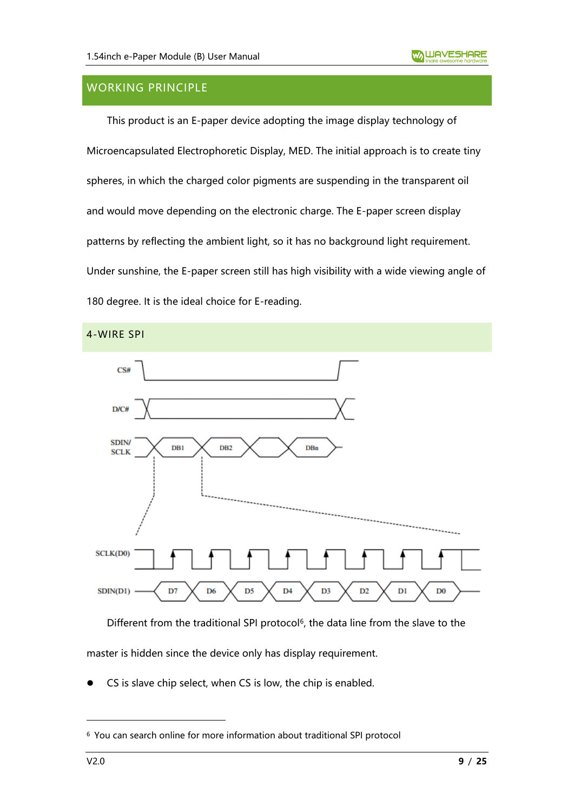## <span id="page-8-0"></span>WORKING PRINCIPLE

This product is an E-paper device adopting the image display technology of Microencapsulated Electrophoretic Display, MED. The initial approach is to create tiny spheres, in which the charged color pigments are suspending in the transparent oil and would move depending on the electronic charge. The E-paper screen display patterns by reflecting the ambient light, so it has no background light requirement. Under sunshine, the E-paper screen still has high visibility with a wide viewing angle of 180 degree. It is the ideal choice for E-reading.

<span id="page-8-1"></span>

Different from the traditional SPI protocol<sup>6</sup>, the data line from the slave to the master is hidden since the device only has display requirement.

CS is slave chip select, when CS is low, the chip is enabled.

<sup>6</sup> You can search online for more information about traditional SPI protocol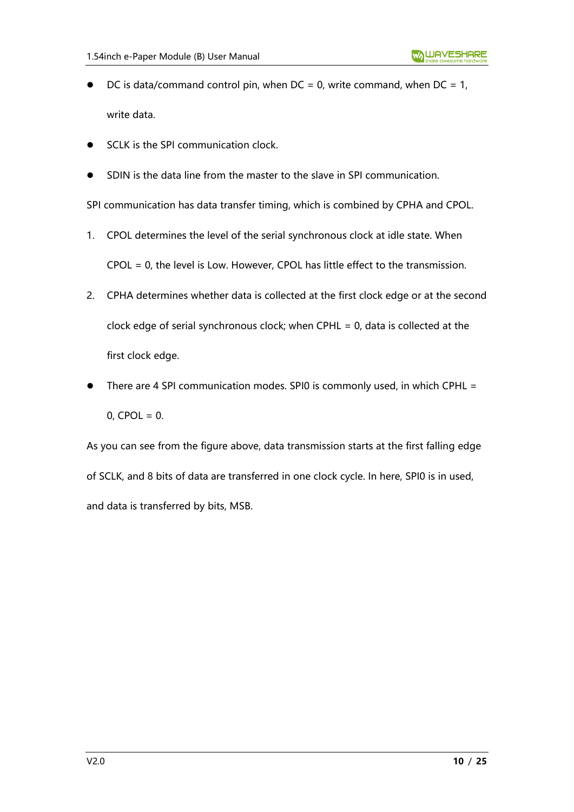- DC is data/command control pin, when  $DC = 0$ , write command, when  $DC = 1$ , write data.
- SCLK is the SPI communication clock.
- ⚫ SDIN is the data line from the master to the slave in SPI communication.

SPI communication has data transfer timing, which is combined by CPHA and CPOL.

- 1. CPOL determines the level of the serial synchronous clock at idle state. When CPOL = 0, the level is Low. However, CPOL has little effect to the transmission.
- 2. CPHA determines whether data is collected at the first clock edge or at the second clock edge of serial synchronous clock; when CPHL = 0, data is collected at the first clock edge.
- There are 4 SPI communication modes. SPI0 is commonly used, in which CPHL =  $0,$  CPOL = 0.

As you can see from the figure above, data transmission starts at the first falling edge of SCLK, and 8 bits of data are transferred in one clock cycle. In here, SPI0 is in used, and data is transferred by bits, MSB.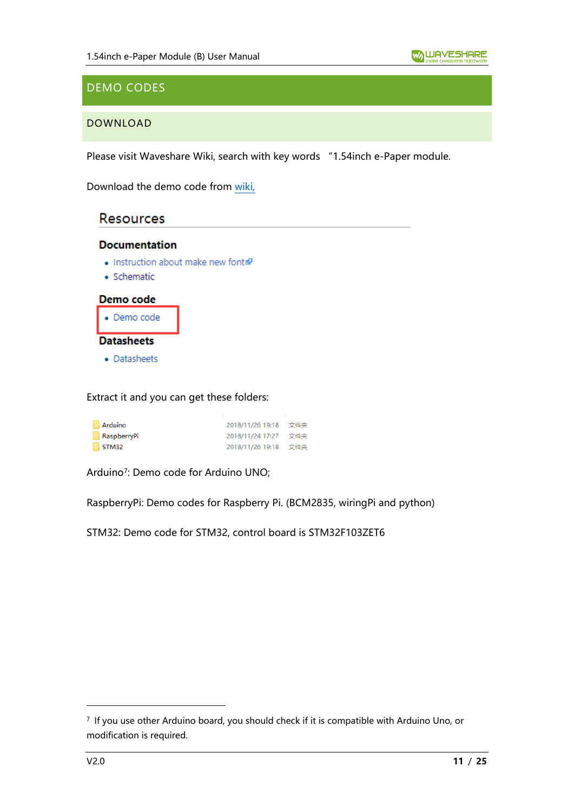## <span id="page-10-0"></span>DEMO CODES

#### <span id="page-10-1"></span>DOWNLOAD

Please visit Waveshare Wiki, search with key words "1.54inch e-Paper module.

Download the demo code from [wiki,](https://www.waveshare.com/wiki/1.54inch_e-Paper_Module_(B))

## **Resources**

#### **Documentation**

- Instruction about make new font
- · Schematic



Extract it and you can get these folders:

| Arduino     | 2018/11/26 19:18 文件夹 |     |
|-------------|----------------------|-----|
| RaspberryPi | 2018/11/24 17:27     | 文件夹 |
| STM32       | 2018/11/26 19:18 文件夹 |     |

Arduino<sup>7</sup> : Demo code for Arduino UNO;

RaspberryPi: Demo codes for Raspberry Pi. (BCM2835, wiringPi and python)

STM32: Demo code for STM32, control board is STM32F103ZET6

<sup>7</sup> If you use other Arduino board, you should check if it is compatible with Arduino Uno, or modification is required.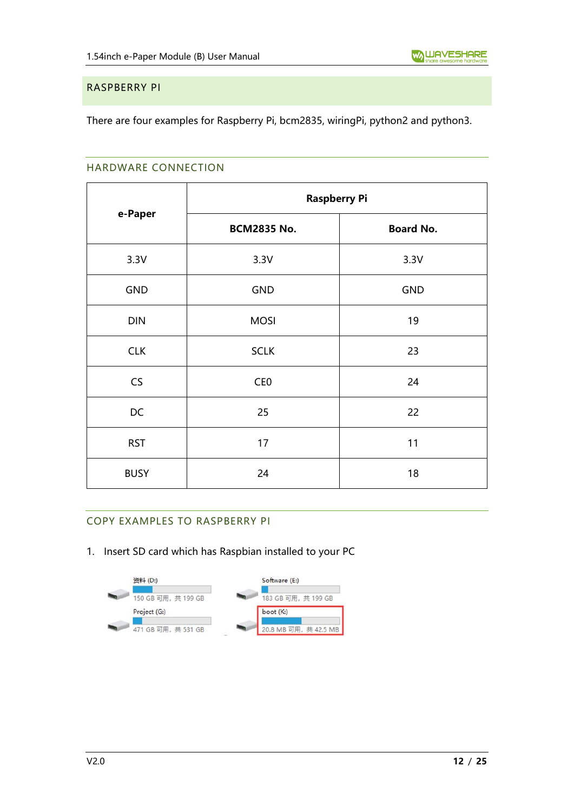#### <span id="page-11-0"></span>RASPBERRY PI

<span id="page-11-1"></span>There are four examples for Raspberry Pi, bcm2835, wiringPi, python2 and python3.

#### HARDWARE CONNECTION

|             | <b>Raspberry Pi</b> |                  |  |
|-------------|---------------------|------------------|--|
| e-Paper     | <b>BCM2835 No.</b>  | <b>Board No.</b> |  |
| 3.3V        | 3.3V                | 3.3V             |  |
| <b>GND</b>  | <b>GND</b>          | <b>GND</b>       |  |
| <b>DIN</b>  | <b>MOSI</b>         | 19               |  |
| <b>CLK</b>  | <b>SCLK</b>         | 23               |  |
| CS          | CE <sub>0</sub>     | 24               |  |
| DC          | 25                  | 22               |  |
| <b>RST</b>  | 17                  | 11               |  |
| <b>BUSY</b> | 24                  | 18               |  |

#### <span id="page-11-2"></span>COPY EXAMPLES TO RASPBERRY PI

1. Insert SD card which has Raspbian installed to your PC

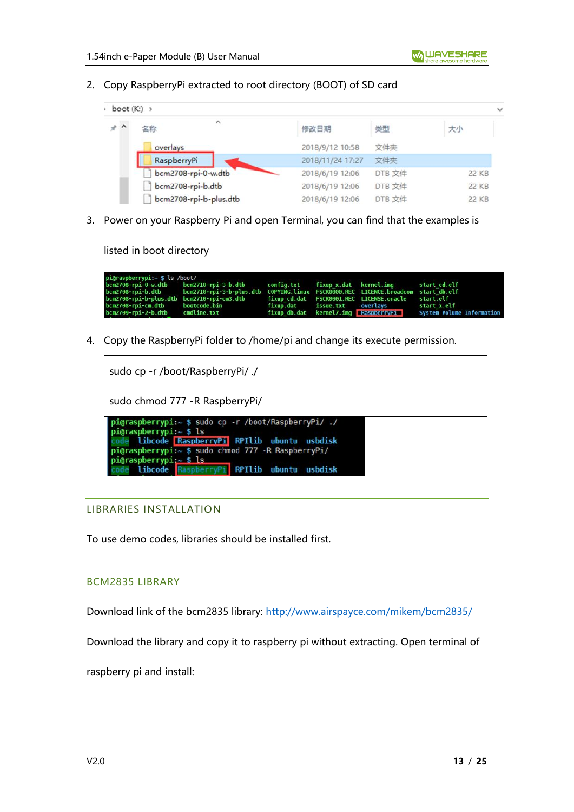2. Copy RaspberryPi extracted to root directory (BOOT) of SD card

| $\rightarrow$ boot (K:) $\rightarrow$ |                           |                  |        |              |
|---------------------------------------|---------------------------|------------------|--------|--------------|
| $*$ ^                                 | $\hat{\phantom{a}}$<br>名称 | 修改日期             | 类型     | 大小           |
|                                       | overlays                  | 2018/9/12 10:58  | 文件夹    |              |
|                                       | RaspberryPi               | 2018/11/24 17:27 | 文件夹    |              |
|                                       | bcm2708-rpi-0-w.dtb       | 2018/6/19 12:06  | DTB 文件 | 22 KB        |
|                                       | bcm2708-rpi-b.dtb         | 2018/6/19 12:06  | DTB 文件 | <b>22 KB</b> |
|                                       | bcm2708-rpi-b-plus.dtb    | 2018/6/19 12:06  | DTB 文件 | 22 KB        |

3. Power on your Raspberry Pi and open Terminal, you can find that the examples is

listed in boot directory

| pi@raspberrypi:~ \$ ls /boot/   |                                                                                                    |  |                                          |                                                                |
|---------------------------------|----------------------------------------------------------------------------------------------------|--|------------------------------------------|----------------------------------------------------------------|
|                                 | bcm2708-rpi-0-w.dtb bcm2710-rpi-3-b.dtb config.txt fixup_x.dat kernel.img start_cd.elf             |  |                                          |                                                                |
|                                 | bcm2708-rpi-b.dtb bcm2710-rpi-3-b-plus.dtb COPYING.linux FSCK0000.REC LICENCE.broadcom startdb.elf |  |                                          |                                                                |
|                                 | bcm2708-rpi-b-plus.dtb bcm2710-rpi-cm3.dtb fixup cd.dat FSCK0001.REC LICENSE.oracle start.elf      |  |                                          |                                                                |
| bcm2708-rpi-cm.dtb bootcode.bin |                                                                                                    |  | fixup.dat issue.txt overlavs startːx.elf |                                                                |
| bcm2709-rpi-2-b.dtb cmdline.txt |                                                                                                    |  |                                          | fixup db.dat kernel7.img RaspberryPi System Volume Information |

4. Copy the RaspberryPi folder to /home/pi and change its execute permission.

| sudo cp -r /boot/RaspberryPi/ ./                                                                                                                                                                                                                                        |
|-------------------------------------------------------------------------------------------------------------------------------------------------------------------------------------------------------------------------------------------------------------------------|
| sudo chmod 777 - R Raspberry Pi/                                                                                                                                                                                                                                        |
| pigraspberrypi:~ \$ sudo cp -r /boot/RaspberryPi/ ./<br>$pi$ graspberrypi: $\sim$ \$ ls<br>libcode RaspberryPi RPIlib ubuntu usbdisk<br>pi@raspberrypi:~ \$ sudo chmod 777 -R RaspberryPi/<br>pi@raspberrypi: $\sim$ \$ ls<br>libcode RaspberryPi RPIlib ubuntu usbdisk |

#### <span id="page-12-0"></span>LIBRARIES INSTALLATION

To use demo codes, libraries should be installed first.

#### BCM2835 LIBRARY

Download link of the bcm2835 library:<http://www.airspayce.com/mikem/bcm2835/>

Download the library and copy it to raspberry pi without extracting. Open terminal of

raspberry pi and install: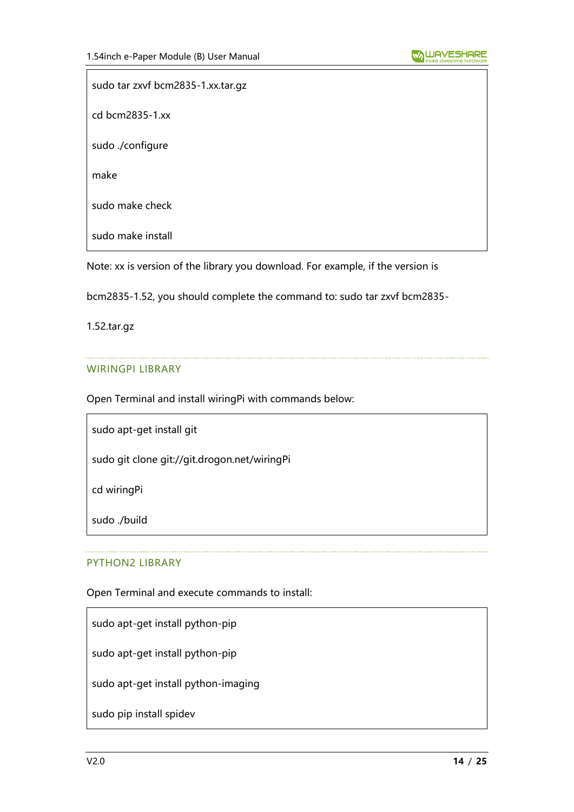sudo tar zxvf bcm2835-1.xx.tar.gz cd bcm2835-1.xx sudo ./configure make sudo make check sudo make install

Note: xx is version of the library you download. For example, if the version is

bcm2835-1.52, you should complete the command to: sudo tar zxvf bcm2835-

1.52.tar.gz

#### WIRINGPI LIBRARY

Open Terminal and install wiringPi with commands below:

sudo apt-get install git

sudo git clone git://git.drogon.net/wiringPi

cd wiringPi

sudo ./build

#### PYTHON2 LIBRARY

Open Terminal and execute commands to install:

sudo apt-get install python-pip

sudo apt-get install python-pip

sudo apt-get install python-imaging

sudo pip install spidev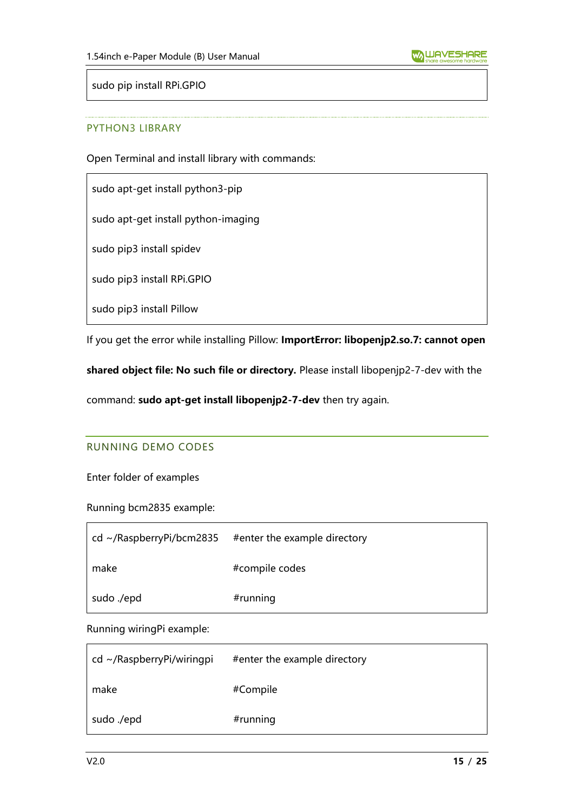sudo pip install RPi.GPIO

#### PYTHON3 LIBRARY

Open Terminal and install library with commands:

sudo apt-get install python3-pip

sudo apt-get install python-imaging

sudo pip3 install spidev

sudo pip3 install RPi.GPIO

sudo pip3 install Pillow

If you get the error while installing Pillow: **ImportError: libopenjp2.so.7: cannot open** 

**shared object file: No such file or directory.** Please install libopenjp2-7-dev with the

<span id="page-14-0"></span>command: **sudo apt-get install libopenjp2-7-dev** then try again.

#### RUNNING DEMO CODES

Enter folder of examples

Running bcm2835 example:

| cd ~/RaspberryPi/bcm2835 | #enter the example directory |
|--------------------------|------------------------------|
| make                     | #compile codes               |
| sudo ./epd               | $#$ running                  |

Running wiringPi example:

| $cd \sim$ /RaspberryPi/wiringpi | #enter the example directory |
|---------------------------------|------------------------------|
| make                            | #Compile                     |
| sudo ./epd                      | #running                     |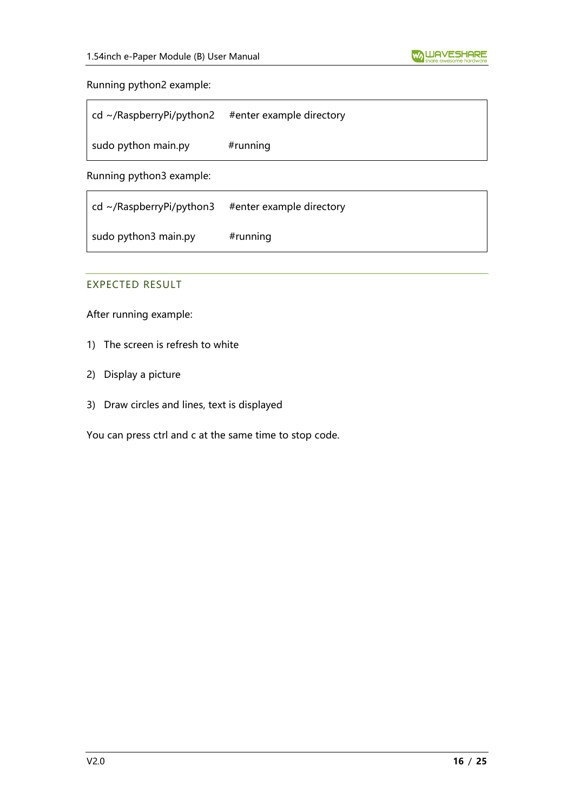#### Running python2 example:

| $\vert$ cd ~/RaspberryPi/python2 | #enter example directory |
|----------------------------------|--------------------------|
| sudo python main.py              | $#$ running              |

Running python3 example:

| $\vert$ cd ~/RaspberryPi/python3 | #enter example directory |
|----------------------------------|--------------------------|
| sudo python3 main.py             | $#$ running              |

#### <span id="page-15-0"></span>EXPECTED RESULT

After running example:

- 1) The screen is refresh to white
- 2) Display a picture
- 3) Draw circles and lines, text is displayed

You can press ctrl and c at the same time to stop code.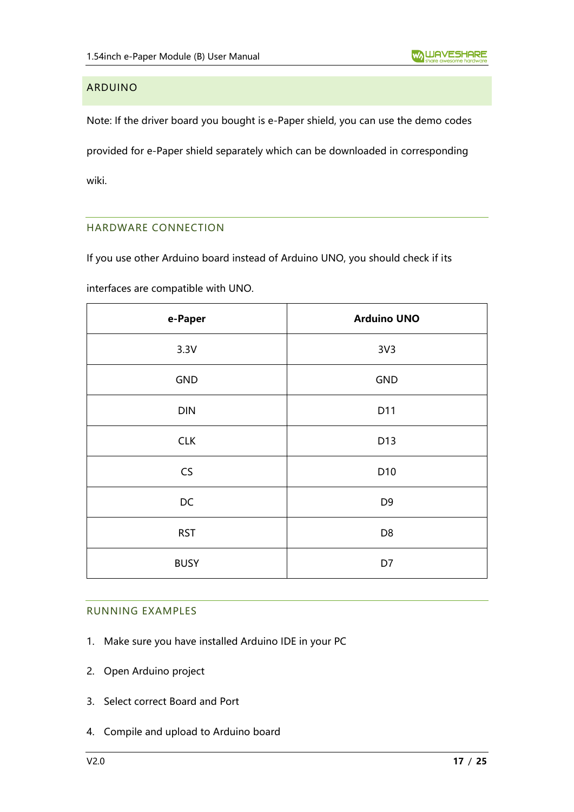## <span id="page-16-0"></span>ARDUINO

Note: If the driver board you bought is e-Paper shield, you can use the demo codes provided for e-Paper shield separately which can be downloaded in corresponding wiki.

#### <span id="page-16-1"></span>HARDWARE CONNECTION

If you use other Arduino board instead of Arduino UNO, you should check if its

interfaces are compatible with UNO.

| e-Paper     | <b>Arduino UNO</b> |
|-------------|--------------------|
| 3.3V        | 3V <sub>3</sub>    |
| GND         | GND                |
| <b>DIN</b>  | D11                |
| <b>CLK</b>  | D13                |
| CS          | D10                |
| DC          | D <sub>9</sub>     |
| <b>RST</b>  | D <sub>8</sub>     |
| <b>BUSY</b> | D7                 |

#### <span id="page-16-2"></span>RUNNING EXAMPLES

- 1. Make sure you have installed Arduino IDE in your PC
- 2. Open Arduino project
- 3. Select correct Board and Port
- 4. Compile and upload to Arduino board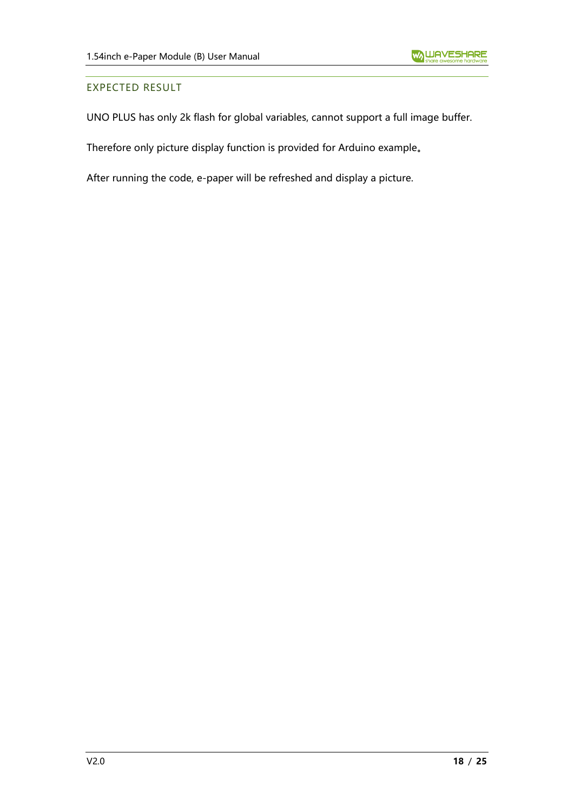#### <span id="page-17-0"></span>EXPECTED RESULT

UNO PLUS has only 2k flash for global variables, cannot support a full image buffer.

Therefore only picture display function is provided for Arduino example。

After running the code, e-paper will be refreshed and display a picture.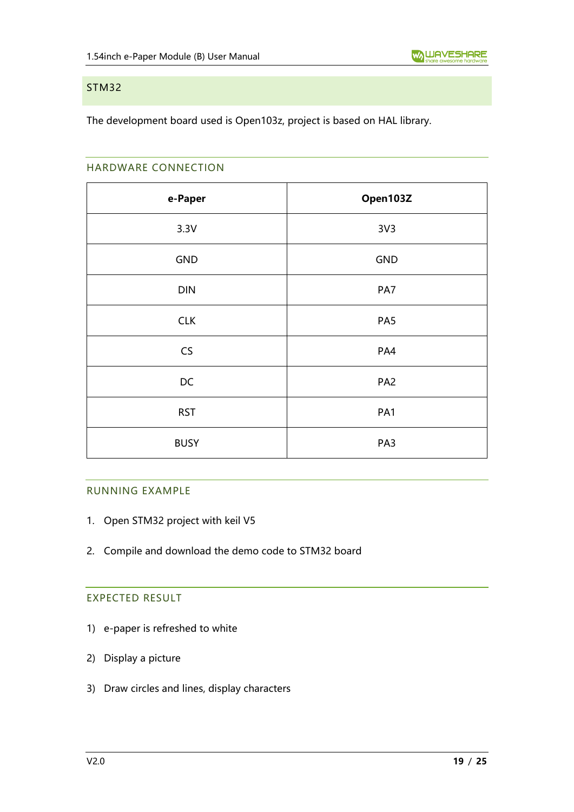#### <span id="page-18-0"></span>STM32

<span id="page-18-1"></span>The development board used is Open103z, project is based on HAL library.

#### HARDWARE CONNECTION

| e-Paper     | Open103Z        |
|-------------|-----------------|
| 3.3V        | 3V <sub>3</sub> |
| GND         | <b>GND</b>      |
| DIN         | PA7             |
| <b>CLK</b>  | PA5             |
| CS          | PA4             |
| DC          | PA <sub>2</sub> |
| <b>RST</b>  | PA1             |
| <b>BUSY</b> | PA3             |

#### <span id="page-18-2"></span>RUNNING EXAMPLE

- 1. Open STM32 project with keil V5
- <span id="page-18-3"></span>2. Compile and download the demo code to STM32 board

#### EXPECTED RESULT

- 1) e-paper is refreshed to white
- 2) Display a picture
- 3) Draw circles and lines, display characters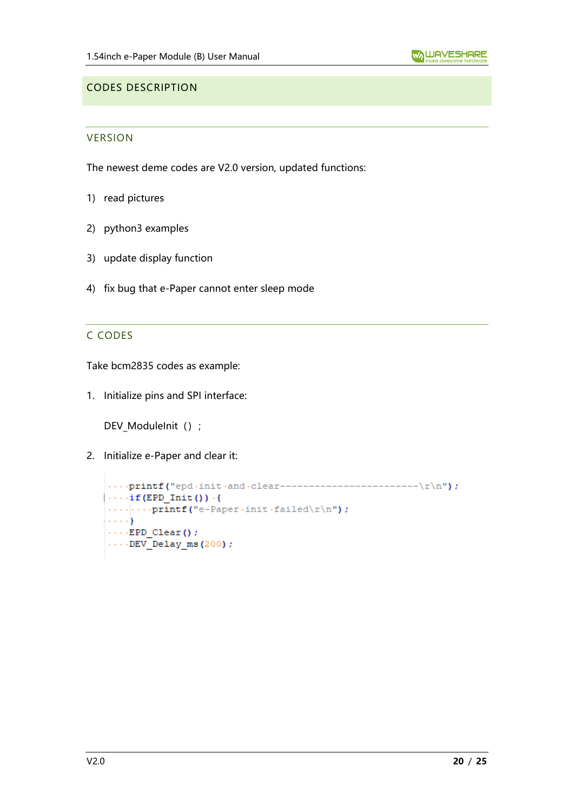#### <span id="page-19-1"></span><span id="page-19-0"></span>CODES DESCRIPTION

#### VERSION

The newest deme codes are V2.0 version, updated functions:

- 1) read pictures
- 2) python3 examples
- 3) update display function
- <span id="page-19-2"></span>4) fix bug that e-Paper cannot enter sleep mode

#### C CODES

Take bcm2835 codes as example:

1. Initialize pins and SPI interface:

DEV\_ModuleInit () ;

2. Initialize e-Paper and clear it:

```
\cdots if (EPD Init ()) \cdot {
\cdots ... printf ("e-Paper init failed\r\n");
\{ \ldots \}\cdots EPD Clear () ;
\cdots DEV Delay ms (200);
```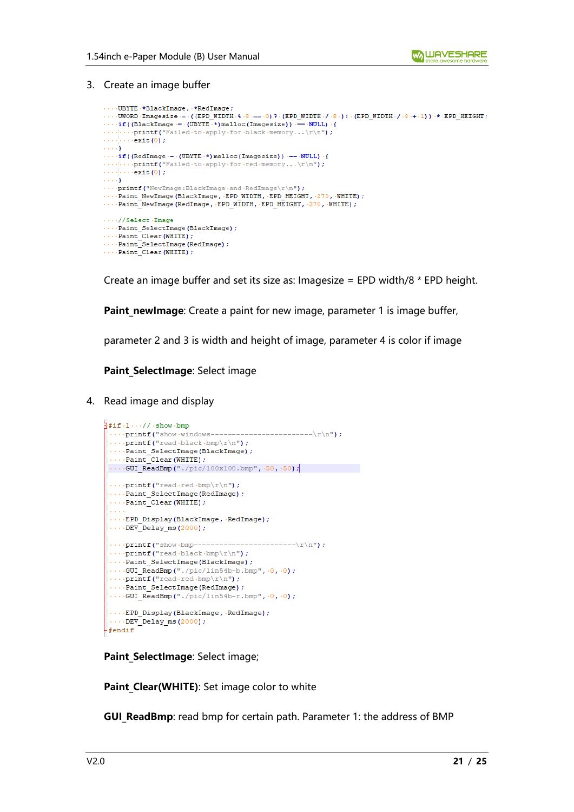3. Create an image buffer

```
\cdots UBYTE \cdot *BlackImage, \cdot *RedImage;
\cdots \cdot \text{UWORD} \cdot \text{Imagesize} \coloneqq \cdot \big( \text{(EPD WIDTH} \cdot \$ \cdot \$ \cdot == \cdot 0 \big) \text{ ?} \cdot \text{(EPD WIDTH} \cdot /\cdot \$ \cdot \big) \; : \; (\text{EPD WIDTH} \cdot /\cdot \$ \cdot + \cdot 1 \big) \big) \cdot *\cdot \text{EPD HELGHT} \big)\cdots if ((BlackImage = \cdot (UBYTE \cdot*) malloc (Imagesize)) == NULL) \cdot {
\cdots printf ("Failed to apply for black memory...\r \n\cdot r);
\cdots \cdots \cdots \text{exit}(0) ;
\ldots . <br> <br> )
\cdots if ((RedImage \cdot = \cdot (UBYTE \cdot \star) malloc (Imagesize)) \cdot == \cdot NULL) \cdot {
\cdots \cdots \cdots \mathbf{printf("Failed-to-apply-for-red-memory... \r\n\cdot\ r^n)}\ldots . \ldots exit (0) ;
...<br>
....printf("NewImage:BlackImage.and.RedImage\r\n");<br>
....Paint_NewImage(BlackImage,.EPD_WIDTH,.EPD_HEIGHT,.270,.WHITE);
....Paint_NewImage(RedImage, EPD_WIDIH, EPD_HEIGHT, 270, WHITE);
\cdots//Select.Image
...Paint SelectImage(BlackImage);
\cdotsPaint Clear (WHITE);
....Paint_SelectImage(RedImage);
\cdotsPaint Clear (WHITE);
```
Create an image buffer and set its size as: Imagesize = EPD width/8 \* EPD height.

Paint newImage: Create a paint for new image, parameter 1 is image buffer,

parameter 2 and 3 is width and height of image, parameter 4 is color if image

**Paint SelectImage: Select image** 

4. Read image and display

```
\exists#if.1..//.show.bmp
 \cdots printf ("show windows---
                                           ------\r\nn ;
 ....printf("read black.bmD\r\nm?...Paint_SelectImage(BlackImage);
 \cdotsPaint Clear (WHITE) ;
\cdotsGUI_ReadBmp("./pic/100x100.bmp", .50, .50);
 ....print("read-red.bmp\r\n\n\rightharpoonup r);
 ....Paint SelectImage(RedImage);
 \cdotsPaint Clear (WHITE) ;
 .... EPD Display (BlackImage, RedImage) ;
 \cdotsDEV Delay ms (2000);
 \cdots printf ("show \cdotbmp-------
                                         ------\r\nn....print(f("read black.bmp\rr\rangle r));
 ...Paint SelectImage(BlackImage);
 \cdotsGUI_ReadBmp("./pic/lin54b-b.bmp", \cdot0, \cdot0);
 \cdotsprintf("read.red.bmp\r\n");
 \cdotsPaint SelectImage(RedImage);
 \cdotsGUI ReadBmp("./pic/lin54b-r.bmp", 0, 0);
 \cdots EPD_Display(BlackImage, RedImage);
 \cdotsDEV_Delay_ms(2000);
-#endif
```
**Paint SelectImage: Select image;** 

**Paint Clear(WHITE)**: Set image color to white

**GUI ReadBmp**: read bmp for certain path. Parameter 1: the address of BMP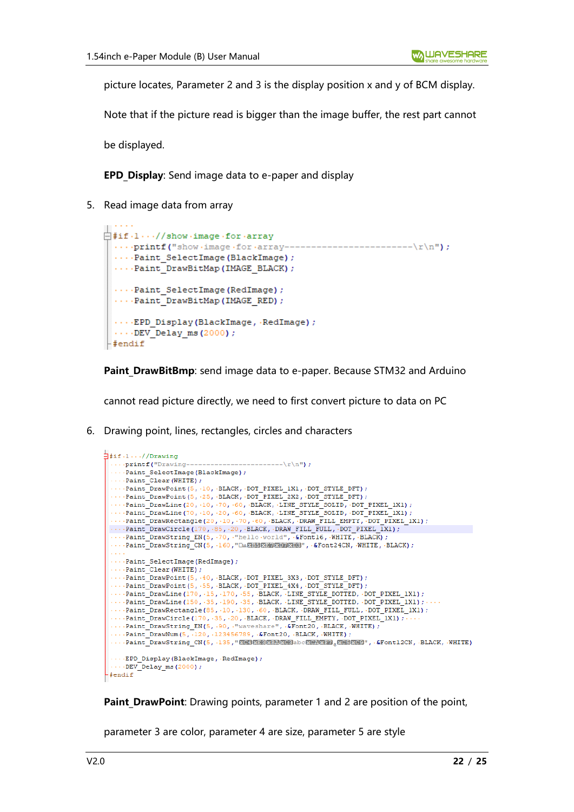picture locates, Parameter 2 and 3 is the display position x and y of BCM display.

Note that if the picture read is bigger than the image buffer, the rest part cannot

be displayed.

والمناورين

**EPD Display:** Send image data to e-paper and display

5. Read image data from array

```
\Box#if.1...//show.image.for.array
 ....printf("show.image.for.array--
                                        ---------------------\r\n");
 ...Paint SelectImage(BlackImage);
 ....Paint DrawBitMap (IMAGE BLACK) ;
 \cdotsPaint SelectImage (RedImage) ;
 \cdotsPaint DrawBitMap (IMAGE RED) ;
 \cdots EPD Display (BlackImage, RedImage);
 \cdots DEV Delay ms (2000);
#endif
```
Paint DrawBitBmp: send image data to e-paper. Because STM32 and Arduino

cannot read picture directly, we need to first convert picture to data on PC

6. Drawing point, lines, rectangles, circles and characters

```
\frac{1}{2}#if.1...//Drawing
    \cdotsprintf ("Drawing---
                                                               ------\r\nr'\n... Paint SelectImage (BlackImage) ;
   \cdotsPaint Clear (WHITE) ;
  ....Paint_DrawPoint(5, .10, .BLACK, .DOT_PIXEL_1X1, .DOT_STYLE_DFT);<br>....Paint_DrawPoint(5, .25, .BLACK, .DOT_PIXEL_2X2, .DOT_STYLE_DFT);
  ...Paint_DrawLine(20, -10, -70, -60, -BLACK, -LINE_STYLE_SOLID, -DOT_PIXEL_1X1);<br>....Paint_DrawLine(20, -10, -70, -60, -BLACK, -LINE_STYLE_SOLID, -DOT_PIXEL_1X1);
   \cdots\cdot\mathtt{Paint\_DrawRectangle\left(20\,,\, \cdot 10\,,\, \cdot 70\,,\, \cdot 60\,,\, \cdot \mathtt{BLACK},\, \cdot \mathtt{DRAW\_FILL\_EMENT},\, \cdot \mathtt{DOT\_PIXEL\_IX1}\right)\,;}\cdots\cdot \mathtt{Paint\_DrawCircle\, (170\,,\, \cdot 85\,,\, \cdot 20\,,\, \cdot BLAGK\,,\, \cdot DRAW\_FILL\_FULL\,,\, \cdot DOT\_PIXEL\_IX1\,):}...Paint_DrawString_EN(5, .70, ."hello world", &Fontl6, .WHITE, .BLACK);<br>....Paint_DrawString_EN(5, .70, ."hello world", &Fontl6, .WHITE, .BLACK);<br>....Paint_DrawString_CN(5, .160, "□▲图30图3020图30239", .&Font24CN, .WHITE, 
  ...Paint SelectImage(RedImage) ;
  \cdotsPaint_Clear (WHITE) ;
   ...Paint_DrawPoint(5, .40, .BLACK, .DOT_PIXEL_3X3, .DOT_STYLE_DFT);
  ....Paint_DrawPoint(5, -55, -BLACK, -DOT_FIREL_4X4, -DOT_STYLE_DFT);<br>....Paint_DrawPoint(5, -55, -BLACK, -DOT_FIXEL_4X4, -DOT_STYLE_DFT);<br>....Paint_DrawLine(170, -15, -170, -55, -BLACK, -LINE_STYLE_DOTTED, -DOT_PIXEL_1X1);
   ...Paint_DrawLine(150, 35, 190, 35, BLACK, LINE_STYLE_DOTTED, DOT_PIXEL_1X1);
  ...Paint_DrawRectangle(85, 10, 130, 60, BLACK, DRAW FILL FULL, DOT_PIXEL_1X1);
  \cdots\cdot \mathtt{Paint\_DrawCircle\, (170\,,\, \cdot 35\,,\, \cdot 20\,,\, \cdot BLAGK\,,\, \cdot DRAW\_FILL\_EMENT\,,\, \cdot DOT\_PIXEL\_IX1)\,,\, \cdot\cdot\cdot}Paint_DrawString_EN(5, -90, "Waveshare", -&Font20, -BLACK, -WHITE);<br>....Paint_DrawString_EN(5, -90, "Waveshare", -&Font20, -BLACK, -WHITE);<br>....Paint_DrawNum(5, -120, -123456789, -&Font20, -BLACK, -WHITE);
  ...Paint_DrawString_CN(5, 135, "RESERENRES abcREARED RESERES)", &Font12CN, BLACK, WHITE)
  ... EPD Display (BlackImage, RedImage) ;
   \cdotsDEV_Delay_ms(2000);
 -#endif
```
**Paint DrawPoint:** Drawing points, parameter 1 and 2 are position of the point,

parameter 3 are color, parameter 4 are size, parameter 5 are style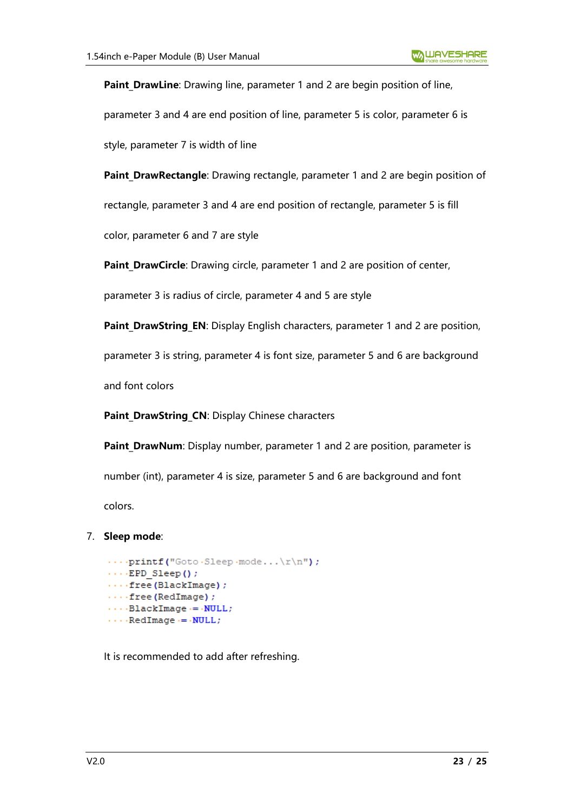**Paint DrawLine**: Drawing line, parameter 1 and 2 are begin position of line,

parameter 3 and 4 are end position of line, parameter 5 is color, parameter 6 is

style, parameter 7 is width of line

Paint DrawRectangle: Drawing rectangle, parameter 1 and 2 are begin position of

rectangle, parameter 3 and 4 are end position of rectangle, parameter 5 is fill

color, parameter 6 and 7 are style

Paint DrawCircle: Drawing circle, parameter 1 and 2 are position of center,

parameter 3 is radius of circle, parameter 4 and 5 are style

**Paint DrawString EN:** Display English characters, parameter 1 and 2 are position,

parameter 3 is string, parameter 4 is font size, parameter 5 and 6 are background

and font colors

Paint DrawString CN: Display Chinese characters

**Paint DrawNum**: Display number, parameter 1 and 2 are position, parameter is number (int), parameter 4 is size, parameter 5 and 6 are background and font colors.

#### 7. **Sleep mode**:

```
....print(f("Goto-Sleep-mode...\\r\n),\cdots EPD Sleep();
\cdots free (BlackImage) ;
\cdots free (RedImage) ;
\cdots BlackImage \cdot = \cdot NULL;
\cdots RedImage \cdots NULL;
```
It is recommended to add after refreshing.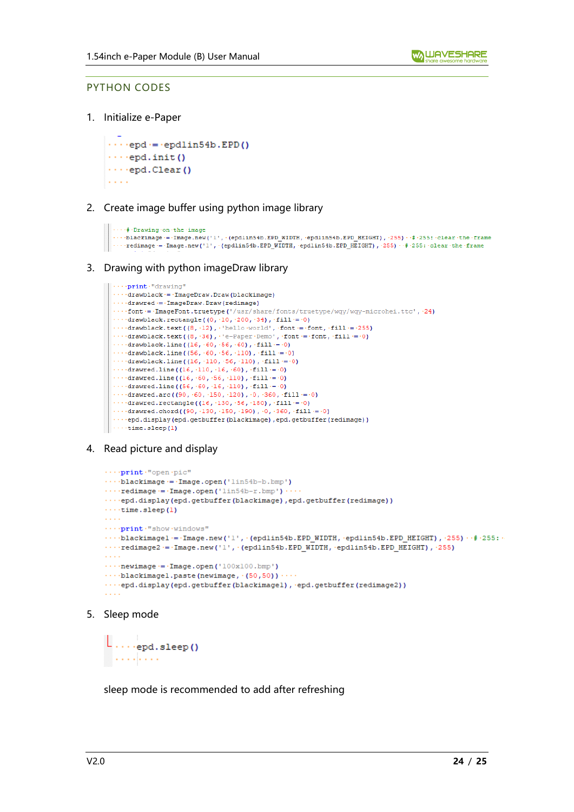#### <span id="page-23-0"></span>PYTHON CODES

1. Initialize e-Paper

 $\cdots$ end = endlin54b.EPD()  $\cdots$ epd.init()  $\cdots$ epd.Clear()  $\alpha$  ,  $\alpha$  ,  $\alpha$ 

2. Create image buffer using python image library

```
\cdots + Drawing on the image
...blackimage = Image.new('1', \(epdlin54b.EPD_WIDTH, \epdlin54b.EPD_HEIGHT), \255) \+#\255:\clear\the\frame
\cdots \texttt{redimage} = \texttt{Image.new('l'}, \texttt{(epdim54b, EPD_MIDTH, \cdot epdlin54b, EPD_HETGHT)}, \texttt{'255)} \cdot \texttt{#255: \cdot clear \cdot the \cdot frame}
```
3. Drawing with python imageDraw library

```
\cdots print \cdot "drawing"
\cdotsdrawblack = ImageDraw.Draw (blackimage)
\cdots drawred = ImageDraw. Draw (redimage)
....font = ImageFont.truetype('/usr/share/fonts/truetype/wqy/wqy-microhei.ttc', 24)
\cdots drawblack.rectangle((0, -10, -200, -34), -fill = -0)
...drawblack.text((8, 12), 'hello world', font = font, fill = 255)
...drawblack.text((8, 36), 'e-Paper Demo', font = font, fill = 0)
....drawblack.line((16, .60, .56, .60), fill = 0)
....drawblack.line((56, 60, 66, 110), fill = 0)
... drawblack.line ((16, 110, 56, 110), fill = 0)
\cdot\cdot\cdot\cdot drawred.line ((16, ·110, ·16, ·60), ·fill = ·0)
\cdots drawred.line ((16, (60, 60, 110), fill = 0)
\cdots drawred.line ((56, \cdot 60, \cdot 16, \cdot 110), \cdot fill = 0)
\cdots drawred.arc((90, \cdot60, \cdot150, \cdot120), \cdot0, \cdot360, \cdotfill\cdot=\cdot0)
\cdots drawred.rectangle((16, -130, -56, -180), -fill = -0)
....drawred.chord((90, 130, 150, 190), 0, 360, fill = 0)
...epd.display(epd.getbuffer(blackimage),epd.getbuffer(redimage))
\cdotstime.sleep(1)
```
4. Read picture and display

```
....print."open.pic"
\cdotsblackimage = Image.open('lin54b-b.bmp')
\cdots redimage = Image.open('lin54b-r.bmp') \cdots...epd.display(epd.getbuffer(blackimage),epd.getbuffer(redimage))
\cdotstime.sleep(1)
College
....print."show.windows"
\cdots blackimagel = Image.new('1', (epdlin54b.EPD WIDTH, epdlin54b.EPD HEIGHT), 255) \cdot # 255 :
\cdots redimage2 = Image.new('1', (epdlin54b, EPD WIDTH, epdlin54b, EPD HEIGHT), 255)
\sim 100\cdots newimage \cdot = \cdot Image.open ('100x100.bmp')
\cdots blackimagel.paste(newimage, (50,50))\cdots...epd.display(epd.getbuffer(blackimagel), epd.getbuffer(redimage2))
COL
```
5. Sleep mode

```
\lfloor \ldots \rfloor<sub>epd.sleep</sub>()
  . . . . . . . . .
```
sleep mode is recommended to add after refreshing